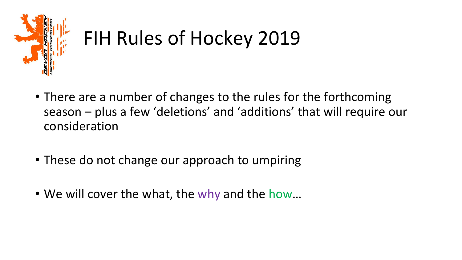

# FIH Rules of Hockey 2019

- There are a number of changes to the rules for the forthcoming season – plus a few 'deletions' and 'additions' that will require our consideration
- These do not change our approach to umpiring
- We will cover the what, the why and the how…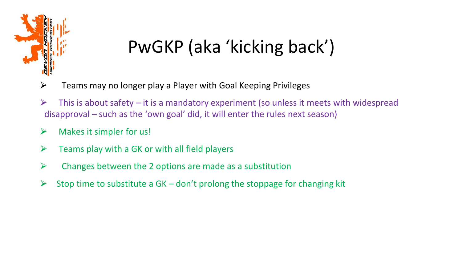

## PwGKP (aka 'kicking back')

- $\triangleright$  Teams may no longer play a Player with Goal Keeping Privileges
- $\triangleright$  This is about safety it is a mandatory experiment (so unless it meets with widespread disapproval – such as the 'own goal' did, it will enter the rules next season)
- $\triangleright$  Makes it simpler for us!
- $\triangleright$  Teams play with a GK or with all field players
- $\triangleright$  Changes between the 2 options are made as a substitution
- $\triangleright$  Stop time to substitute a GK don't prolong the stoppage for changing kit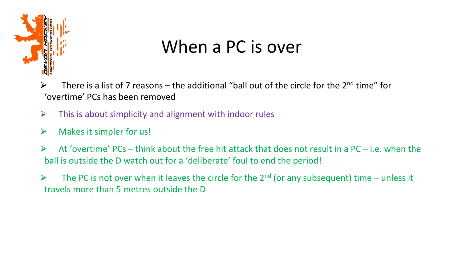

### When a PC is over

 $\triangleright$  There is a list of 7 reasons – the additional "ball out of the circle for the 2<sup>nd</sup> time" for 'overtime' PCs has been removed

- $\triangleright$  This is about simplicity and alignment with indoor rules
- $\triangleright$  Makes it simpler for us!
- $\triangleright$  At 'overtime' PCs think about the free hit attack that does not result in a PC i.e. when the ball is outside the D watch out for a 'deliberate' foul to end the period!
- $\triangleright$  The PC is not over when it leaves the circle for the 2<sup>nd</sup> (or any subsequent) time unless it travels more than 5 metres outside the D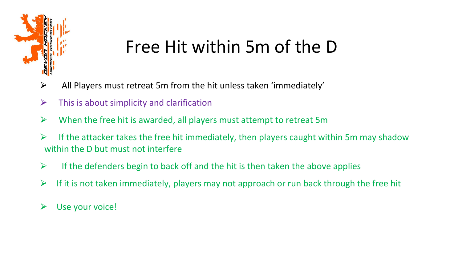

## Free Hit within 5m of the D

- $\triangleright$  All Players must retreat 5m from the hit unless taken 'immediately'
- $\triangleright$  This is about simplicity and clarification
- $\triangleright$  When the free hit is awarded, all players must attempt to retreat 5m
- $\triangleright$  If the attacker takes the free hit immediately, then players caught within 5m may shadow within the D but must not interfere
- $\triangleright$  If the defenders begin to back off and the hit is then taken the above applies
- $\triangleright$  If it is not taken immediately, players may not approach or run back through the free hit
- $\triangleright$  Use your voice!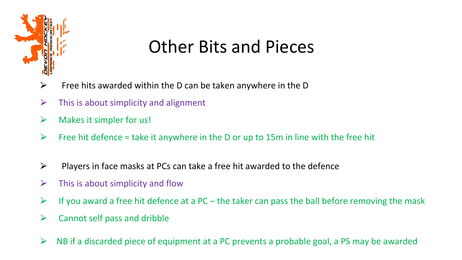

### Other Bits and Pieces

- $\triangleright$  Free hits awarded within the D can be taken anywhere in the D
- $\triangleright$  This is about simplicity and alignment
- $\triangleright$  Makes it simpler for us!
- $\triangleright$  Free hit defence = take it anywhere in the D or up to 15m in line with the free hit
- $\triangleright$  Players in face masks at PCs can take a free hit awarded to the defence
- $\triangleright$  This is about simplicity and flow
- $\triangleright$  If you award a free hit defence at a PC the taker can pass the ball before removing the mask
- $\triangleright$  Cannot self pass and dribble
- $\triangleright$  NB if a discarded piece of equipment at a PC prevents a probable goal, a PS may be awarded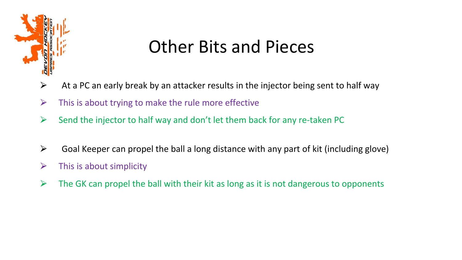

### Other Bits and Pieces

- $\triangleright$  At a PC an early break by an attacker results in the injector being sent to half way
- $\triangleright$  This is about trying to make the rule more effective
- $\triangleright$  Send the injector to half way and don't let them back for any re-taken PC
- $\triangleright$  Goal Keeper can propel the ball a long distance with any part of kit (including glove)
- $\triangleright$  This is about simplicity
- $\triangleright$  The GK can propel the ball with their kit as long as it is not dangerous to opponents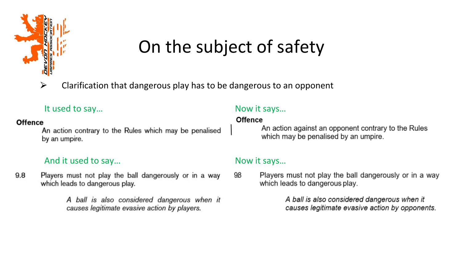

## On the subject of safety

 $\triangleright$  Clarification that dangerous play has to be dangerous to an opponent

### It used to say... The same state of the same state of the same state  $\sim$  Now it says...

#### **Offence**

An action contrary to the Rules which may be penalised by an umpire.

### And it used to say... And it used to say...

9.8 Players must not play the ball dangerously or in a way which leads to dangerous play.

> A ball is also considered dangerous when it causes legitimate evasive action by players.

#### **Offence**

An action against an opponent contrary to the Rules which may be penalised by an umpire.

98 Players must not play the ball dangerously or in a way which leads to dangerous play.

> A ball is also considered dangerous when it causes legitimate evasive action by opponents.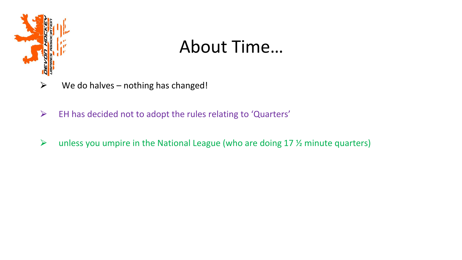

### About Time…

- $\triangleright$  We do halves nothing has changed!
- $\triangleright$  EH has decided not to adopt the rules relating to 'Quarters'
- $\triangleright$  unless you umpire in the National League (who are doing 17 % minute quarters)